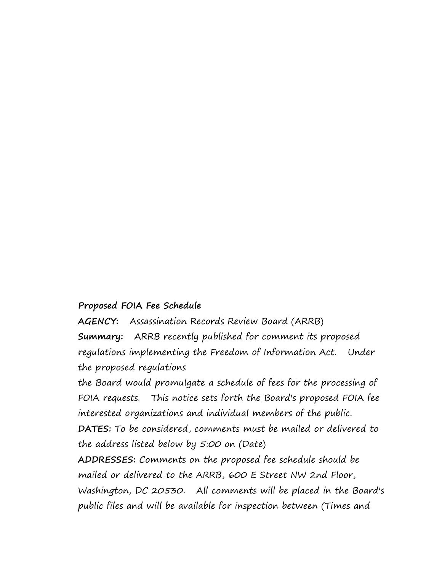## **Proposed FOIA Fee Schedule**

**AGENCY:** Assassination Records Review Board (ARRB) **Summary:** ARRB recently published for comment its proposed regulations implementing the Freedom of Information Act. Under the proposed regulations

the Board would promulgate a schedule of fees for the processing of FOIA requests. This notice sets forth the Board's proposed FOIA fee interested organizations and individual members of the public. **DATES:** To be considered, comments must be mailed or delivered to the address listed below by 5:00 on (Date)

**ADDRESSES:** Comments on the proposed fee schedule should be mailed or delivered to the ARRB, 600 E Street NW 2nd Floor, Washington, DC 20530. All comments will be placed in the Board's public files and will be available for inspection between (Times and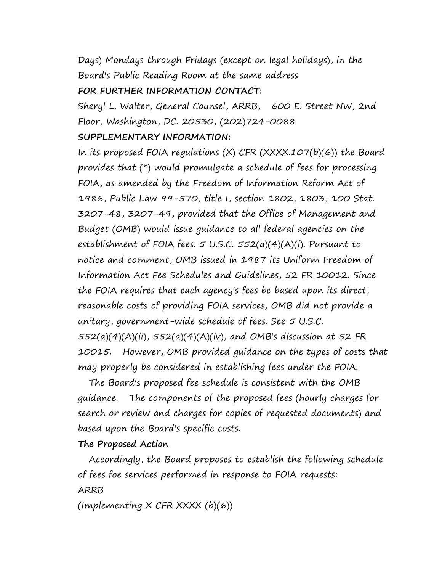Days) Mondays through Fridays (except on legal holidays), in the Board's Public Reading Room at the same address **FOR FURTHER INFORMATION CONTACT:**

Sheryl L. Walter, General Counsel, ARRB, 600 E. Street NW, 2nd Floor, Washington, DC. 20530, (202)724-0088

## **SUPPLEMENTARY INFORMATION:**

In its proposed FOIA regulations (X) CFR (XXXX.107(b)(6)) the Board provides that (\*) would promulgate a schedule of fees for processing FOIA, as amended by the Freedom of Information Reform Act of 1986, Public Law 99-570, title I, section 1802, 1803, 100 Stat. 3207-48, 3207-49, provided that the Office of Management and Budget (OMB) would issue guidance to all federal agencies on the establishment of FOIA fees. 5 U.S.C. 552(a)(4)(A)(i). Pursuant to notice and comment, OMB issued in 1987 its Uniform Freedom of Information Act Fee Schedules and Guidelines, 52 FR 10012. Since the FOIA requires that each agency's fees be based upon its direct, reasonable costs of providing FOIA services, OMB did not provide a unitary, government-wide schedule of fees. See 5 U.S.C.  $552(a)(4)(A)(ii)$ ,  $552(a)(4)(A)(iv)$ , and OMB's discussion at 52 FR 10015. However, OMB provided guidance on the types of costs that may properly be considered in establishing fees under the FOIA.

 The Board's proposed fee schedule is consistent with the OMB guidance. The components of the proposed fees (hourly charges for search or review and charges for copies of requested documents) and based upon the Board's specific costs.

## **The Proposed Action**

Accordingly, the Board proposes to establish the following schedule of fees foe services performed in response to FOIA requests: ARRB

(Implementing  $X$  CFR XXXX  $(b)(6)$ )